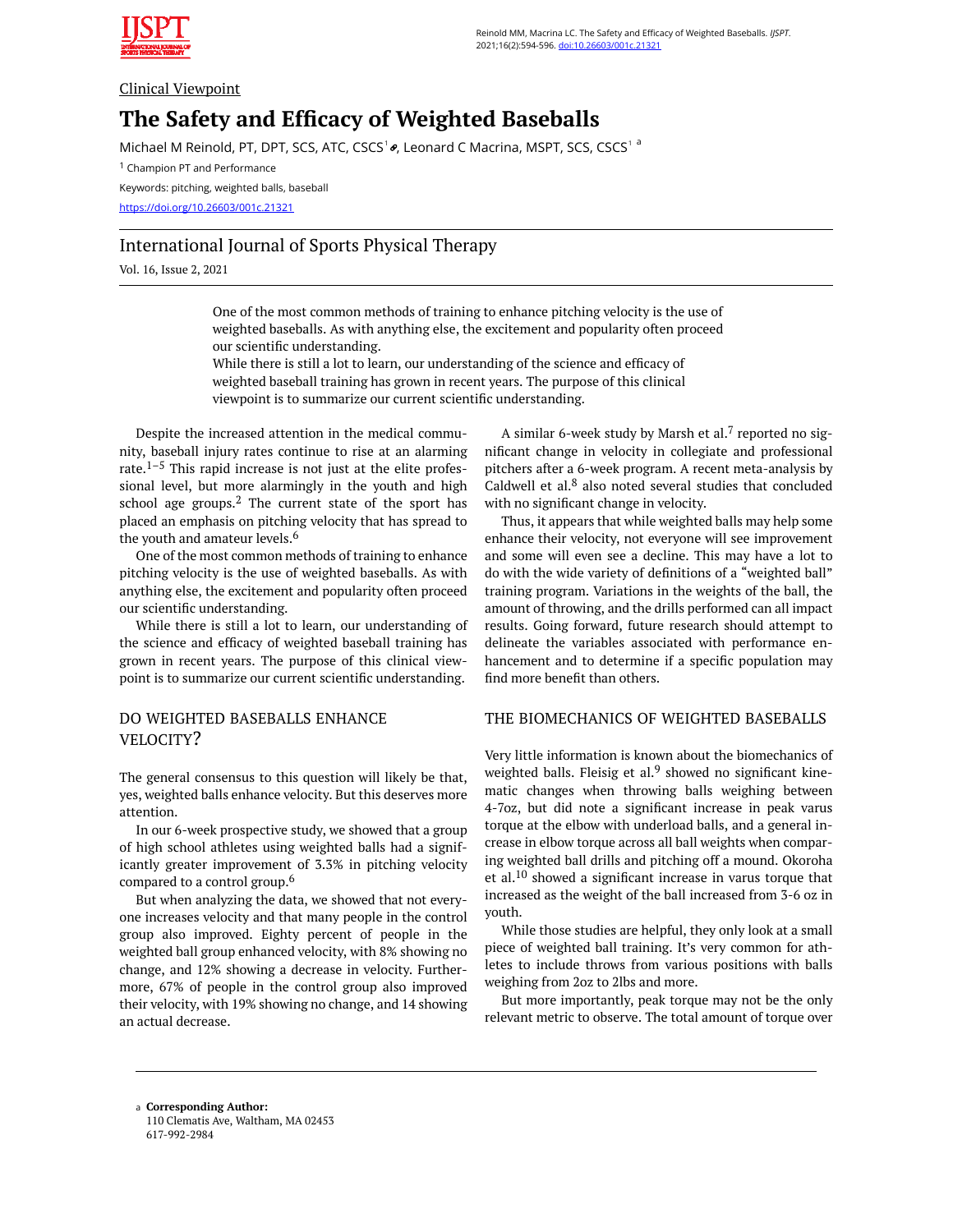

#### Clinical Viewpoint

# **The Safety and Efficacy of Weighted Baseballs**

Michael M Reinold, PT, DPT, SCS, ATC, CSCS<sup>1</sup> , Leonard C Macrina, MSPT, SCS, CSCS<sup>1 a</sup>

<sup>1</sup> Champion PT and Performance

Keywords: pitching, weighted balls, baseball

https://doi.org/10.26603/001c.21321

## International Journal of Sports Physical Therapy

Vol. 16, Issue 2, 2021

One of the most common methods of training to enhance pitching velocity is the use of weighted baseballs. As with anything else, the excitement and popularity often proceed our scientific understanding.

While there is still a lot to learn, our understanding of the science and efficacy of weighted baseball training has grown in recent years. The purpose of this clinical viewpoint is to summarize our current scientific understanding.

Despite the increased attention in the medical community, baseball injury rates continue to rise at an alarming rate. $1-5$  This rapid increase is not just at the elite professional level, but more alarmingly in the youth and high school age groups.<sup>2</sup> The current state of the sport has placed an emphasis on pitching velocity that has spread to the youth and amateur levels.<sup>6</sup>

One of the most common methods of training to enhance pitching velocity is the use of weighted baseballs. As with anything else, the excitement and popularity often proceed our scientific understanding.

While there is still a lot to learn, our understanding of the science and efficacy of weighted baseball training has grown in recent years. The purpose of this clinical viewpoint is to summarize our current scientific understanding.

## DO WEIGHTED BASEBALLS ENHANCE VELOCITY?

The general consensus to this question will likely be that, yes, weighted balls enhance velocity. But this deserves more attention.

In our 6-week prospective study, we showed that a group of high school athletes using weighted balls had a significantly greater improvement of 3.3% in pitching velocity compared to a control group.6

But when analyzing the data, we showed that not everyone increases velocity and that many people in the control group also improved. Eighty percent of people in the weighted ball group enhanced velocity, with 8% showing no change, and 12% showing a decrease in velocity. Furthermore, 67% of people in the control group also improved their velocity, with 19% showing no change, and 14 showing an actual decrease.

A similar 6-week study by Marsh et al.<sup>7</sup> reported no significant change in velocity in collegiate and professional pitchers after a 6-week program. A recent meta-analysis by Caldwell et al. $8$  also noted several studies that concluded with no significant change in velocity.

Thus, it appears that while weighted balls may help some enhance their velocity, not everyone will see improvement and some will even see a decline. This may have a lot to do with the wide variety of definitions of a "weighted ball" training program. Variations in the weights of the ball, the amount of throwing, and the drills performed can all impact results. Going forward, future research should attempt to delineate the variables associated with performance enhancement and to determine if a specific population may find more benefit than others.

## THE BIOMECHANICS OF WEIGHTED BASEBALLS

Very little information is known about the biomechanics of weighted balls. Fleisig et al.<sup>9</sup> showed no significant kinematic changes when throwing balls weighing between 4-7oz, but did note a significant increase in peak varus torque at the elbow with underload balls, and a general increase in elbow torque across all ball weights when comparing weighted ball drills and pitching off a mound. Okoroha et al.<sup>10</sup> showed a significant increase in varus torque that increased as the weight of the ball increased from 3-6 oz in youth.

While those studies are helpful, they only look at a small piece of weighted ball training. It's very common for athletes to include throws from various positions with balls weighing from 2oz to 2lbs and more.

But more importantly, peak torque may not be the only relevant metric to observe. The total amount of torque over

**Corresponding Author:**  a 110 Clematis Ave, Waltham, MA 02453 617-992-2984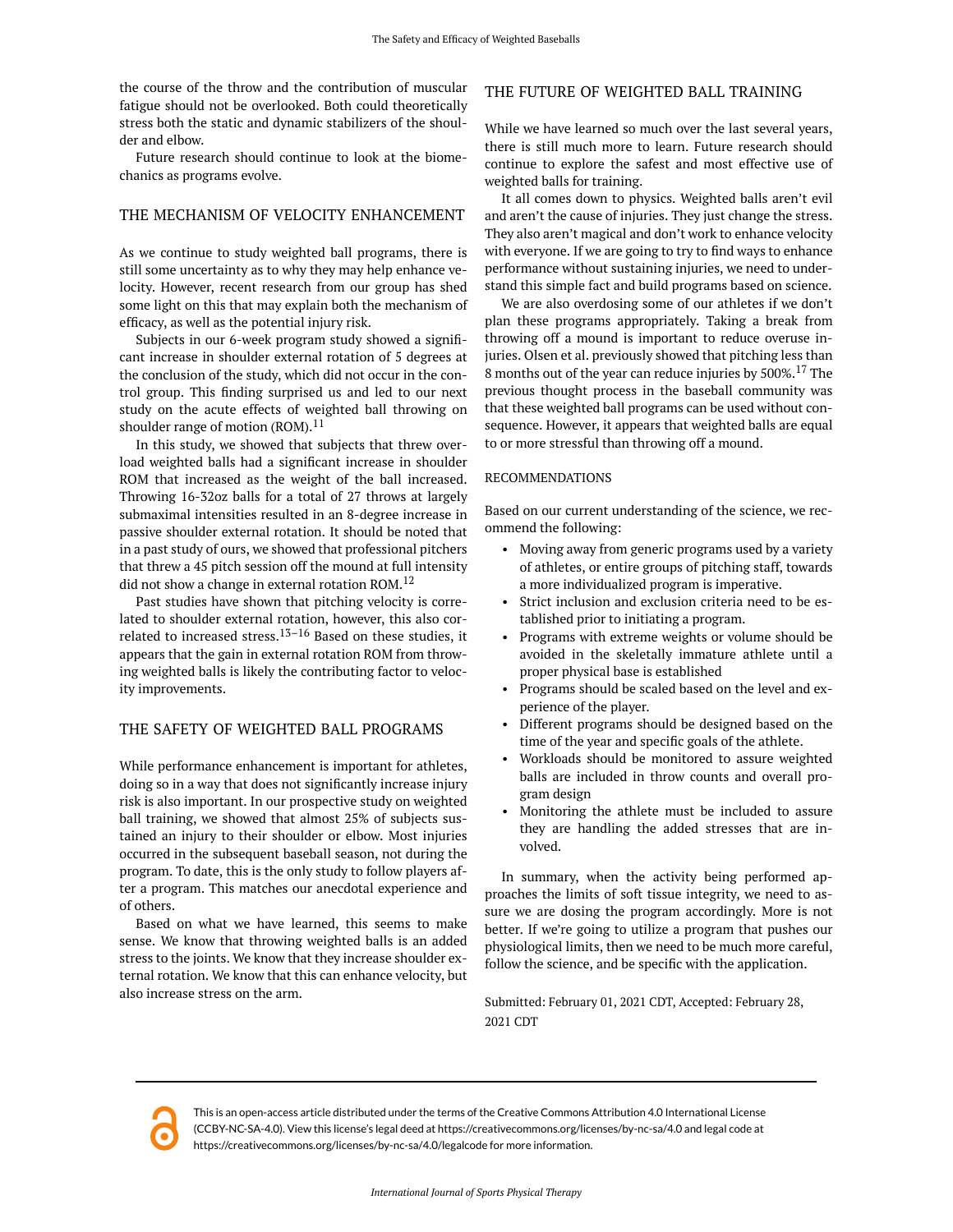the course of the throw and the contribution of muscular fatigue should not be overlooked. Both could theoretically stress both the static and dynamic stabilizers of the shoulder and elbow.

Future research should continue to look at the biomechanics as programs evolve.

#### THE MECHANISM OF VELOCITY ENHANCEMENT

As we continue to study weighted ball programs, there is still some uncertainty as to why they may help enhance velocity. However, recent research from our group has shed some light on this that may explain both the mechanism of efficacy, as well as the potential injury risk.

Subjects in our 6-week program study showed a significant increase in shoulder external rotation of 5 degrees at the conclusion of the study, which did not occur in the control group. This finding surprised us and led to our next study on the acute effects of weighted ball throwing on shoulder range of motion  $(ROM).<sup>11</sup>$ 

In this study, we showed that subjects that threw overload weighted balls had a significant increase in shoulder ROM that increased as the weight of the ball increased. Throwing 16-32oz balls for a total of 27 throws at largely submaximal intensities resulted in an 8-degree increase in passive shoulder external rotation. It should be noted that in a past study of ours, we showed that professional pitchers that threw a 45 pitch session off the mound at full intensity did not show a change in external rotation ROM.<sup>12</sup>

Past studies have shown that pitching velocity is correlated to shoulder external rotation, however, this also correlated to increased stress.<sup>13–16</sup> Based on these studies, it appears that the gain in external rotation ROM from throwing weighted balls is likely the contributing factor to velocity improvements.

#### THE SAFETY OF WEIGHTED BALL PROGRAMS

While performance enhancement is important for athletes, doing so in a way that does not significantly increase injury risk is also important. In our prospective study on weighted ball training, we showed that almost 25% of subjects sustained an injury to their shoulder or elbow. Most injuries occurred in the subsequent baseball season, not during the program. To date, this is the only study to follow players after a program. This matches our anecdotal experience and of others.

Based on what we have learned, this seems to make sense. We know that throwing weighted balls is an added stress to the joints. We know that they increase shoulder external rotation. We know that this can enhance velocity, but also increase stress on the arm.

### THE FUTURE OF WEIGHTED BALL TRAINING

While we have learned so much over the last several years, there is still much more to learn. Future research should continue to explore the safest and most effective use of weighted balls for training.

It all comes down to physics. Weighted balls aren't evil and aren't the cause of injuries. They just change the stress. They also aren't magical and don't work to enhance velocity with everyone. If we are going to try to find ways to enhance performance without sustaining injuries, we need to understand this simple fact and build programs based on science.

We are also overdosing some of our athletes if we don't plan these programs appropriately. Taking a break from throwing off a mound is important to reduce overuse injuries. Olsen et al. previously showed that pitching less than 8 months out of the year can reduce injuries by 500%.17 The previous thought process in the baseball community was that these weighted ball programs can be used without consequence. However, it appears that weighted balls are equal to or more stressful than throwing off a mound.

#### RECOMMENDATIONS

Based on our current understanding of the science, we recommend the following:

- Moving away from generic programs used by a variety of athletes, or entire groups of pitching staff, towards a more individualized program is imperative.
- Strict inclusion and exclusion criteria need to be established prior to initiating a program.
- Programs with extreme weights or volume should be avoided in the skeletally immature athlete until a proper physical base is established
- Programs should be scaled based on the level and experience of the player.
- Different programs should be designed based on the time of the year and specific goals of the athlete.
- Workloads should be monitored to assure weighted balls are included in throw counts and overall program design
- Monitoring the athlete must be included to assure they are handling the added stresses that are involved.

In summary, when the activity being performed approaches the limits of soft tissue integrity, we need to assure we are dosing the program accordingly. More is not better. If we're going to utilize a program that pushes our physiological limits, then we need to be much more careful, follow the science, and be specific with the application.

Submitted: February 01, 2021 CDT, Accepted: February 28, 2021 CDT



This is an open-access article distributed under the terms of the Creative Commons Attribution 4.0 International License (CCBY-NC-SA-4.0). View this license's legal deed at https://creativecommons.org/licenses/by-nc-sa/4.0 and legal code at https://creativecommons.org/licenses/by-nc-sa/4.0/legalcode for more information.